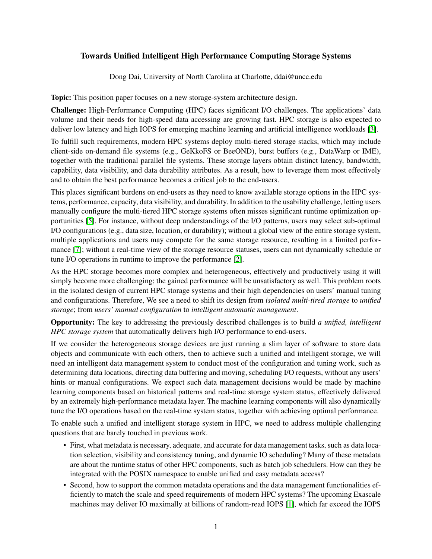## Towards Unified Intelligent High Performance Computing Storage Systems

Dong Dai, University of North Carolina at Charlotte, ddai@uncc.edu

Topic: This position paper focuses on a new storage-system architecture design.

Challenge: High-Performance Computing (HPC) faces significant I/O challenges. The applications' data volume and their needs for high-speed data accessing are growing fast. HPC storage is also expected to deliver low latency and high IOPS for emerging machine learning and artificial intelligence workloads [\[3\]](#page-1-0).

To fulfill such requirements, modern HPC systems deploy multi-tiered storage stacks, which may include client-side on-demand file systems (e.g., GeKkoFS or BeeOND), burst buffers (e.g., DataWarp or IME), together with the traditional parallel file systems. These storage layers obtain distinct latency, bandwidth, capability, data visibility, and data durability attributes. As a result, how to leverage them most effectively and to obtain the best performance becomes a critical job to the end-users.

This places significant burdens on end-users as they need to know available storage options in the HPC systems, performance, capacity, data visibility, and durability. In addition to the usability challenge, letting users manually configure the multi-tiered HPC storage systems often misses significant runtime optimization opportunities [\[5\]](#page-1-1). For instance, without deep understandings of the I/O patterns, users may select sub-optimal I/O configurations (e.g., data size, location, or durability); without a global view of the entire storage system, multiple applications and users may compete for the same storage resource, resulting in a limited performance [\[7\]](#page-1-2); without a real-time view of the storage resource statuses, users can not dynamically schedule or tune I/O operations in runtime to improve the performance [\[2\]](#page-1-3).

As the HPC storage becomes more complex and heterogeneous, effectively and productively using it will simply become more challenging; the gained performance will be unsatisfactory as well. This problem roots in the isolated design of current HPC storage systems and their high dependencies on users' manual tuning and configurations. Therefore, We see a need to shift its design from *isolated multi-tired storage* to *unified storage*; from *users' manual configuration* to *intelligent automatic management*.

Opportunity: The key to addressing the previously described challenges is to build *a unified, intelligent HPC storage system* that automatically delivers high I/O performance to end-users.

If we consider the heterogeneous storage devices are just running a slim layer of software to store data objects and communicate with each others, then to achieve such a unified and intelligent storage, we will need an intelligent data management system to conduct most of the configuration and tuning work, such as determining data locations, directing data buffering and moving, scheduling I/O requests, without any users' hints or manual configurations. We expect such data management decisions would be made by machine learning components based on historical patterns and real-time storage system status, effectively delivered by an extremely high-performance metadata layer. The machine learning components will also dynamically tune the I/O operations based on the real-time system status, together with achieving optimal performance.

To enable such a unified and intelligent storage system in HPC, we need to address multiple challenging questions that are barely touched in previous work.

- First, what metadata is necessary, adequate, and accurate for data management tasks, such as data location selection, visibility and consistency tuning, and dynamic IO scheduling? Many of these metadata are about the runtime status of other HPC components, such as batch job schedulers. How can they be integrated with the POSIX namespace to enable unified and easy metadata access?
- Second, how to support the common metadata operations and the data management functionalities efficiently to match the scale and speed requirements of modern HPC systems? The upcoming Exascale machines may deliver IO maximally at billions of random-read IOPS [\[1\]](#page-1-4), which far exceed the IOPS